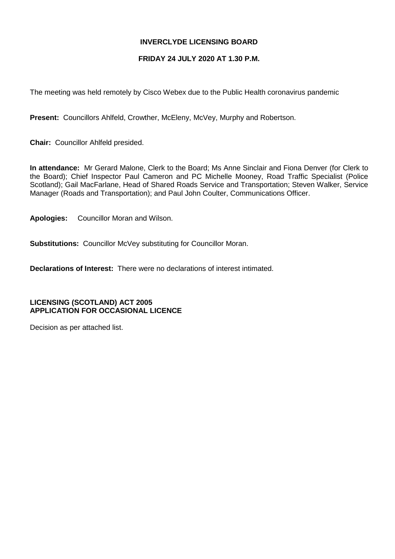# **INVERCLYDE LICENSING BOARD**

# **FRIDAY 24 JULY 2020 AT 1.30 P.M.**

The meeting was held remotely by Cisco Webex due to the Public Health coronavirus pandemic

**Present:** Councillors Ahlfeld, Crowther, McEleny, McVey, Murphy and Robertson.

**Chair:** Councillor Ahlfeld presided.

**In attendance:** Mr Gerard Malone, Clerk to the Board; Ms Anne Sinclair and Fiona Denver (for Clerk to the Board); Chief Inspector Paul Cameron and PC Michelle Mooney, Road Traffic Specialist (Police Scotland); Gail MacFarlane, Head of Shared Roads Service and Transportation; Steven Walker, Service Manager (Roads and Transportation); and Paul John Coulter, Communications Officer.

**Apologies:** Councillor Moran and Wilson.

**Substitutions:** Councillor McVey substituting for Councillor Moran.

**Declarations of Interest:** There were no declarations of interest intimated.

**LICENSING (SCOTLAND) ACT 2005 APPLICATION FOR OCCASIONAL LICENCE**

Decision as per attached list.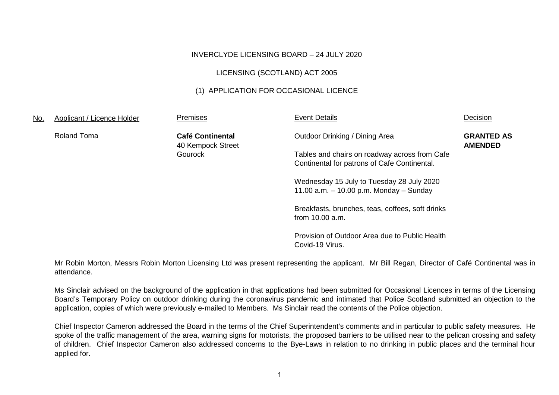#### INVERCLYDE LICENSING BOARD – 24 JULY 2020

### LICENSING (SCOTLAND) ACT 2005

# (1) APPLICATION FOR OCCASIONAL LICENCE

| <u>No.</u> | Applicant / Licence Holder | Premises                                     | <b>Event Details</b>                                                                          | Decision                            |
|------------|----------------------------|----------------------------------------------|-----------------------------------------------------------------------------------------------|-------------------------------------|
|            | <b>Roland Toma</b>         | <b>Café Continental</b><br>40 Kempock Street | Outdoor Drinking / Dining Area                                                                | <b>GRANTED AS</b><br><b>AMENDED</b> |
|            |                            | Gourock                                      | Tables and chairs on roadway across from Cafe<br>Continental for patrons of Cafe Continental. |                                     |
|            |                            |                                              | Wednesday 15 July to Tuesday 28 July 2020<br>11.00 $a.m. - 10.00$ p.m. Monday $-$ Sunday      |                                     |
|            |                            |                                              | Breakfasts, brunches, teas, coffees, soft drinks<br>from 10.00 a.m.                           |                                     |
|            |                            |                                              | Provision of Outdoor Area due to Public Health<br>Covid-19 Virus.                             |                                     |

Mr Robin Morton, Messrs Robin Morton Licensing Ltd was present representing the applicant. Mr Bill Regan, Director of Café Continental was in attendance.

Ms Sinclair advised on the background of the application in that applications had been submitted for Occasional Licences in terms of the Licensing Board's Temporary Policy on outdoor drinking during the coronavirus pandemic and intimated that Police Scotland submitted an objection to the application, copies of which were previously e-mailed to Members. Ms Sinclair read the contents of the Police objection.

Chief Inspector Cameron addressed the Board in the terms of the Chief Superintendent's comments and in particular to public safety measures. He spoke of the traffic management of the area, warning signs for motorists, the proposed barriers to be utilised near to the pelican crossing and safety of children. Chief Inspector Cameron also addressed concerns to the Bye-Laws in relation to no drinking in public places and the terminal hour applied for.